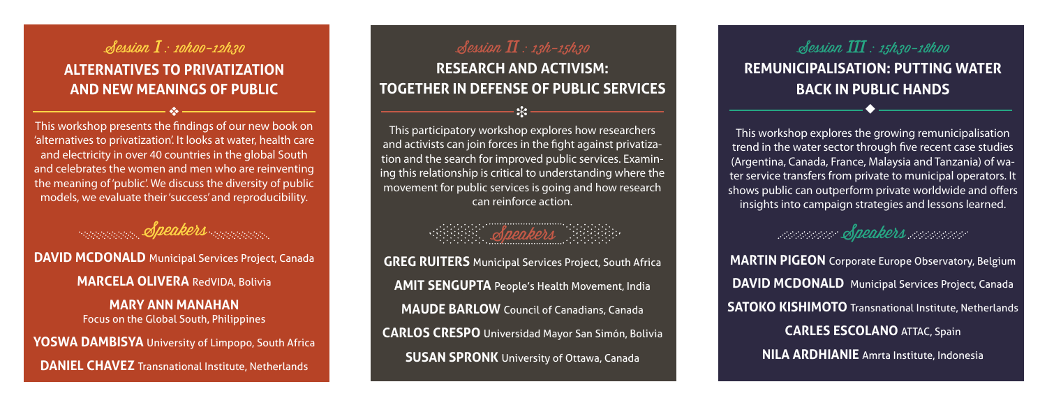### Session I : 10h00-12h30 **Alternatives to Privatization and New Meanings of Public**

This workshop presents the findings of our new book on 'alternatives to privatization'. It looks at water, health care and electricity in over 40 countries in the global South and celebrates the women and men who are reinventing the meaning of 'public'. We discuss the diversity of public models, we evaluate their 'success' and reproducibility.

Speakers moment **DAVID MCDONALD** Municipal Services Project, Canada **Marcela Olivera** RedVIDA, Bolivia **Mary Ann Manahan** Focus on the Global South, Philippines **Yoswa Dambisya** University of Limpopo, South Africa **DANIEL CHAVEZ** Transnational Institute, Netherlands

#### Session  $I\!I$  : 13h-15h30

**Research and Activism: Together in Defense of Public Services**

v i u

This participatory workshop explores how researchers and activists can join forces in the fight against privatization and the search for improved public services. Examining this relationship is critical to understanding where the movement for public services is going and how research can reinforce action.

## Speakers

**GREG RUITERS** Municipal Services Project, South Africa **Amit Sengupta** People's Health Movement, India **MAUDE BARLOW** Council of Canadians, Canada **Carlos Crespo** Universidad Mayor San Simón, Bolivia **SUSAN SPRONK** University of Ottawa, Canada

Session III : 15h30-18h00 **Remunicipalisation: Putting Water Back in Public Hands**

This workshop explores the growing remunicipalisation trend in the water sector through five recent case studies (Argentina, Canada, France, Malaysia and Tanzania) of water service transfers from private to municipal operators. It shows public can outperform private worldwide and offers insights into campaign strategies and lessons learned.

### Speakers money

**MARTIN PIGEON** Corporate Europe Observatory, Belgium **DAVID MCDONALD** Municipal Services Project, Canada **SATOKO KISHIMOTO** Transnational Institute, Netherlands **Carles Escolano** ATTAC, Spain **NILA ARDHIANIE** Amrta Institute, Indonesia